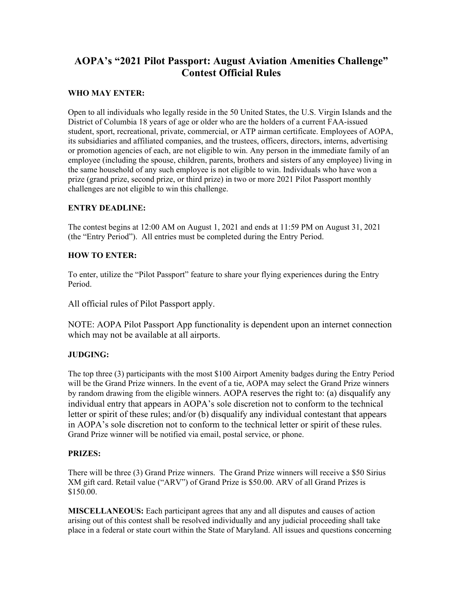# **AOPA's "2021 Pilot Passport: August Aviation Amenities Challenge" Contest Official Rules**

# **WHO MAY ENTER:**

Open to all individuals who legally reside in the 50 United States, the U.S. Virgin Islands and the District of Columbia 18 years of age or older who are the holders of a current FAA-issued student, sport, recreational, private, commercial, or ATP airman certificate. Employees of AOPA, its subsidiaries and affiliated companies, and the trustees, officers, directors, interns, advertising or promotion agencies of each, are not eligible to win. Any person in the immediate family of an employee (including the spouse, children, parents, brothers and sisters of any employee) living in the same household of any such employee is not eligible to win. Individuals who have won a prize (grand prize, second prize, or third prize) in two or more 2021 Pilot Passport monthly challenges are not eligible to win this challenge.

## **ENTRY DEADLINE:**

The contest begins at 12:00 AM on August 1, 2021 and ends at 11:59 PM on August 31, 2021 (the "Entry Period"). All entries must be completed during the Entry Period.

## **HOW TO ENTER:**

To enter, utilize the "Pilot Passport" feature to share your flying experiences during the Entry Period.

All official rules of Pilot Passport apply.

NOTE: AOPA Pilot Passport App functionality is dependent upon an internet connection which may not be available at all airports.

## **JUDGING:**

The top three (3) participants with the most \$100 Airport Amenity badges during the Entry Period will be the Grand Prize winners. In the event of a tie, AOPA may select the Grand Prize winners by random drawing from the eligible winners. AOPA reserves the right to: (a) disqualify any individual entry that appears in AOPA's sole discretion not to conform to the technical letter or spirit of these rules; and/or (b) disqualify any individual contestant that appears in AOPA's sole discretion not to conform to the technical letter or spirit of these rules. Grand Prize winner will be notified via email, postal service, or phone.

### **PRIZES:**

There will be three (3) Grand Prize winners. The Grand Prize winners will receive a \$50 Sirius XM gift card. Retail value ("ARV") of Grand Prize is \$50.00. ARV of all Grand Prizes is \$150.00.

**MISCELLANEOUS:** Each participant agrees that any and all disputes and causes of action arising out of this contest shall be resolved individually and any judicial proceeding shall take place in a federal or state court within the State of Maryland. All issues and questions concerning